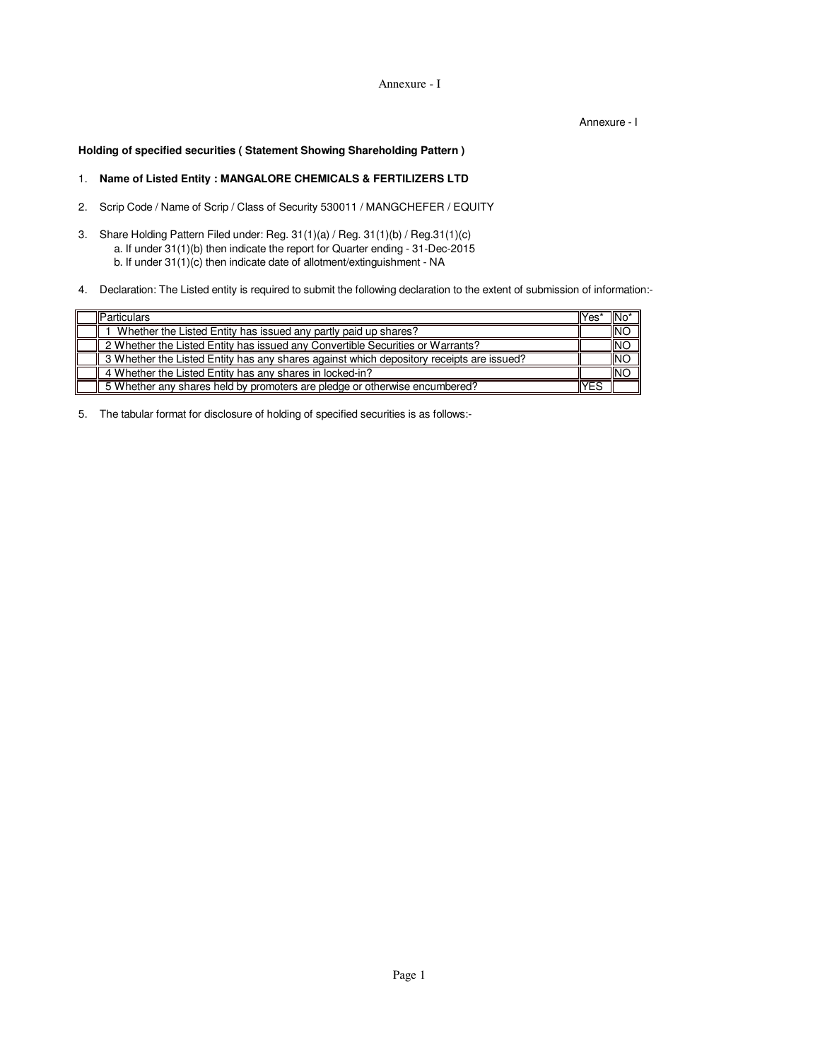Annexure - I

Annexure - I

**Holding of specified securities ( Statement Showing Shareholding Pattern )**

# 1. **Name of Listed Entity : MANGALORE CHEMICALS & FERTILIZERS LTD**

- 2. Scrip Code / Name of Scrip / Class of Security 530011 / MANGCHEFER / EQUITY
- 3. Share Holding Pattern Filed under: Reg. 31(1)(a) / Reg. 31(1)(b) / Reg.31(1)(c) a. If under 31(1)(b) then indicate the report for Quarter ending - 31-Dec-2015 b. If under 31(1)(c) then indicate date of allotment/extinguishment - NA
- 4. Declaration: The Listed entity is required to submit the following declaration to the extent of submission of information:-

| <b>Particulars</b>                                                                       | Yes | "INo       |
|------------------------------------------------------------------------------------------|-----|------------|
| Whether the Listed Entity has issued any partly paid up shares?                          |     | <b>INO</b> |
| 2 Whether the Listed Entity has issued any Convertible Securities or Warrants?           |     | <b>INO</b> |
| 3 Whether the Listed Entity has any shares against which depository receipts are issued? |     | <b>INO</b> |
| 4 Whether the Listed Entity has any shares in locked-in?                                 |     | <b>INO</b> |
| 5 Whether any shares held by promoters are pledge or otherwise encumbered?               | YES |            |

5. The tabular format for disclosure of holding of specified securities is as follows:-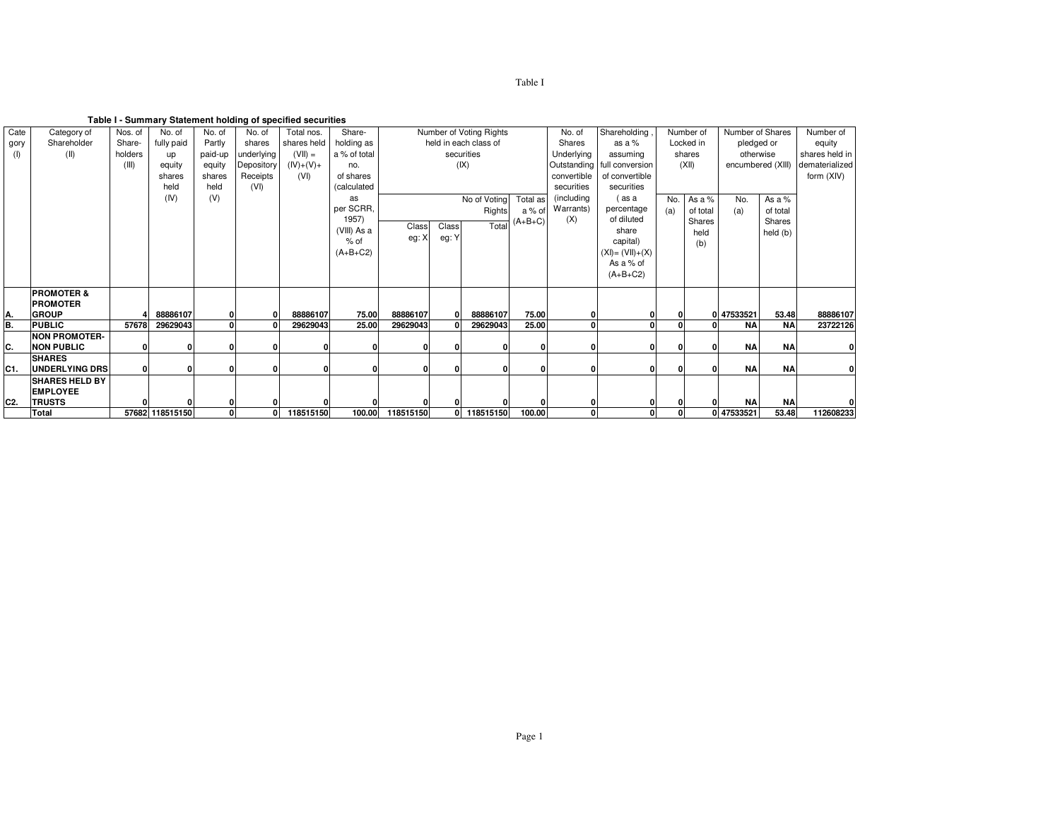**Table I - Summary Statement holding of specified securities**

|                |                       |         |                 |               |            | rable i - Summary Statement holding or specified securities |              |           |       |                         |           |             |                               |     |           |                  |                   |                |
|----------------|-----------------------|---------|-----------------|---------------|------------|-------------------------------------------------------------|--------------|-----------|-------|-------------------------|-----------|-------------|-------------------------------|-----|-----------|------------------|-------------------|----------------|
| Cate           | Category of           | Nos. of | No. of          | No. of        | No. of     | Total nos.                                                  | Share-       |           |       | Number of Voting Rights |           | No. of      | Shareholding                  |     | Number of | Number of Shares |                   | Number of      |
| gory           | Shareholder           | Share-  | fully paid      | Partly        | shares     | shares held                                                 | holding as   |           |       | held in each class of   |           | Shares      | as a $%$                      |     | Locked in | pledged or       |                   | equity         |
| (1)            | (II)                  | holders | up              | paid-up       | underlying | $(VII) =$                                                   | a % of total |           |       | securities              |           | Underlying  | assuming                      |     | shares    | otherwise        |                   | shares held in |
|                |                       | (III)   | equity          | equity        | Depository | $(IV)+(V)+$                                                 | no.          |           |       | (IX)                    |           |             | Outstanding   full conversion |     | (XII)     |                  | encumbered (XIII) | dematerialized |
|                |                       |         | shares          | shares        | Receipts   | (VI)                                                        | of shares    |           |       |                         |           | convertible | of convertible                |     |           |                  |                   | form (XIV)     |
|                |                       |         | held            | held          | (VI)       |                                                             | (calculated  |           |       |                         |           | securities  | securities                    |     |           |                  |                   |                |
|                |                       |         | (IV)            | (V)           |            |                                                             | as           |           |       | No of Voting            | Total as  | (including  | (as a                         | No. | As a %    | No.              | As a %            |                |
|                |                       |         |                 |               |            |                                                             | per SCRR,    |           |       | Rights                  | a % of    | Warrants)   | percentage                    | (a) | of total  | (a)              | of total          |                |
|                |                       |         |                 |               |            |                                                             | 1957)        |           |       |                         | $(A+B+C)$ | (X)         | of diluted                    |     | Shares    |                  | Shares            |                |
|                |                       |         |                 |               |            |                                                             | (VIII) As a  | Class     | Class | Total                   |           |             | share                         |     | held      |                  | held (b)          |                |
|                |                       |         |                 |               |            |                                                             | $%$ of       | eg: X     | eg: Y |                         |           |             | capital)                      |     | (b)       |                  |                   |                |
|                |                       |         |                 |               |            |                                                             | $(A+B+C2)$   |           |       |                         |           |             | $(XI) = (VII)+(X)$            |     |           |                  |                   |                |
|                |                       |         |                 |               |            |                                                             |              |           |       |                         |           |             | As a % of                     |     |           |                  |                   |                |
|                |                       |         |                 |               |            |                                                             |              |           |       |                         |           |             | $(A+B+C2)$                    |     |           |                  |                   |                |
|                |                       |         |                 |               |            |                                                             |              |           |       |                         |           |             |                               |     |           |                  |                   |                |
|                | <b>PROMOTER &amp;</b> |         |                 |               |            |                                                             |              |           |       |                         |           |             |                               |     |           |                  |                   |                |
|                | <b>PROMOTER</b>       |         |                 |               |            |                                                             |              |           |       |                         |           |             |                               |     |           |                  |                   |                |
| А.             | <b>GROUP</b>          |         | 88886107        | 0<br>$\Omega$ |            | 88886107                                                    | 75.00        | 88886107  |       | 88886107                | 75.00     |             |                               | 01  |           | 0 47533521       | 53.48             | 88886107       |
| В.             | <b>PUBLIC</b>         | 57678   | 29629043        |               |            | 29629043                                                    | 25.00        | 29629043  |       | 29629043                | 25.00     |             |                               |     |           | <b>NA</b>        | <b>NA</b>         | 23722126       |
|                | <b>INON PROMOTER-</b> |         |                 |               |            |                                                             |              |           |       |                         |           |             |                               |     |           | <b>NA</b>        | <b>NA</b>         |                |
| С.             | <b>NON PUBLIC</b>     |         | $\bf{0}$        |               |            |                                                             | O            |           |       |                         |           |             |                               |     |           |                  |                   | 0              |
|                | <b>SHARES</b>         |         |                 |               |            |                                                             |              |           |       |                         |           |             |                               |     |           |                  |                   |                |
| C1.            | <b>UNDERLYING DRS</b> | O       | 0               |               |            | O.                                                          | O            | O         |       |                         | ŋ         |             |                               |     | $\Omega$  | <b>NA</b>        | <b>NA</b>         | 0              |
|                | <b>SHARES HELD BY</b> |         |                 |               |            |                                                             |              |           |       |                         |           |             |                               |     |           |                  |                   |                |
|                | <b>EMPLOYEE</b>       |         |                 |               |            |                                                             |              |           |       |                         |           |             |                               |     |           |                  |                   |                |
| C <sub>2</sub> | <b>TRUSTS</b>         |         |                 |               |            |                                                             |              |           |       |                         |           |             |                               |     |           | <b>NA</b>        | <b>NA</b>         |                |
|                | <b>Total</b>          |         | 57682 118515150 | $\mathbf{0}$  | 0          | 118515150                                                   | 100.00       | 118515150 | 0     | 118515150               | 100.00    | 0           |                               | 0   |           | 047533521        | 53.48             | 112608233      |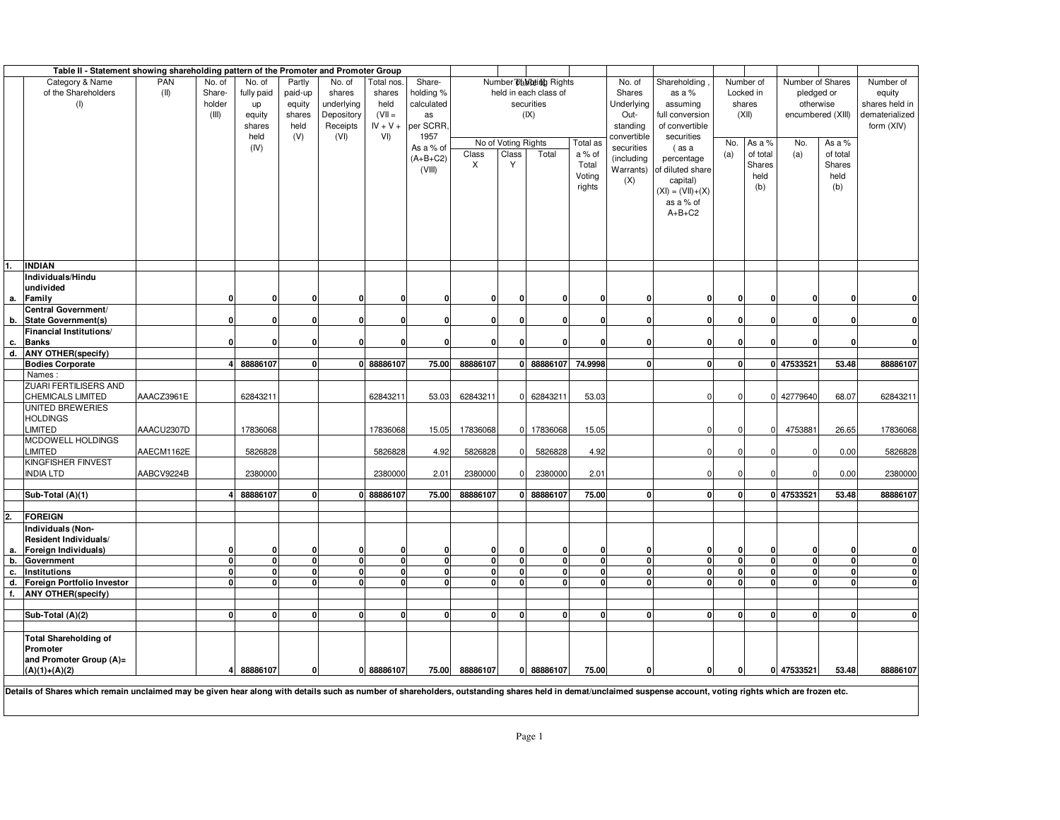|    | Table II - Statement showing shareholding pattern of the Promoter and Promoter Group |            |              |            |             |              |              |              |              |                     |                         |             |              |                            |              |              |                   |              |                |
|----|--------------------------------------------------------------------------------------|------------|--------------|------------|-------------|--------------|--------------|--------------|--------------|---------------------|-------------------------|-------------|--------------|----------------------------|--------------|--------------|-------------------|--------------|----------------|
|    | Category & Name                                                                      | PAN        | No. of       | No. of     | Partly      | No. of       | Total nos.   | Share-       |              |                     | Number Dallbeing Rights |             | No. of       | Shareholding               |              | Number of    | Number of Shares  |              | Number of      |
|    | of the Shareholders                                                                  | (II)       | Share-       | fully paid | paid-up     | shares       | shares       | holding %    |              |                     | held in each class of   |             | Shares       | as a %                     |              | Locked in    | pledged or        | equity       |                |
|    | (1)                                                                                  |            | holder       | up         | equity      | underlying   | held         | calculated   |              |                     | securities              |             | Underlying   | assuming                   |              | shares       | otherwise         |              | shares held in |
|    |                                                                                      |            | (III)        | equity     | shares      | Depository   | $(VII =$     | as           |              |                     | (IX)                    |             | Out-         | full conversion            |              | (XII)        | encumbered (XIII) |              | dematerialized |
|    |                                                                                      |            |              | shares     | held        | Receipts     | $IV + V +$   | per SCRR.    |              |                     |                         |             | standing     | of convertible             |              |              |                   |              | form (XIV)     |
|    |                                                                                      |            |              | held       | (V)         | (VI)         | VI)          | 1957         |              |                     |                         |             | convertible  | securities                 |              |              |                   |              |                |
|    |                                                                                      |            |              | (IV)       |             |              |              | As a % of    |              | No of Voting Rights |                         | Total as    | securities   | (as a                      | No.          | As a %       | No.               | As a %       |                |
|    |                                                                                      |            |              |            |             |              |              | $(A+B+C2)$   | Class        | Class               | Total                   | a % of      | (including   | percentage                 | (a)          | of total     | (a)               | of total     |                |
|    |                                                                                      |            |              |            |             |              |              |              | X            | Y                   |                         | Total       |              | Warrants) of diluted share |              | Shares       |                   | Shares       |                |
|    |                                                                                      |            |              |            |             |              |              | (VIII)       |              |                     |                         | Voting      |              |                            |              | held         |                   | held         |                |
|    |                                                                                      |            |              |            |             |              |              |              |              |                     |                         | rights      | (X)          | capital)                   |              | (b)          |                   | (b)          |                |
|    |                                                                                      |            |              |            |             |              |              |              |              |                     |                         |             |              | $(XI) = (VII)+(X)$         |              |              |                   |              |                |
|    |                                                                                      |            |              |            |             |              |              |              |              |                     |                         |             |              | as a % of                  |              |              |                   |              |                |
|    |                                                                                      |            |              |            |             |              |              |              |              |                     |                         |             |              | $A+B+C2$                   |              |              |                   |              |                |
|    |                                                                                      |            |              |            |             |              |              |              |              |                     |                         |             |              |                            |              |              |                   |              |                |
|    |                                                                                      |            |              |            |             |              |              |              |              |                     |                         |             |              |                            |              |              |                   |              |                |
|    |                                                                                      |            |              |            |             |              |              |              |              |                     |                         |             |              |                            |              |              |                   |              |                |
|    |                                                                                      |            |              |            |             |              |              |              |              |                     |                         |             |              |                            |              |              |                   |              |                |
| 1. | INDIAN                                                                               |            |              |            |             |              |              |              |              |                     |                         |             |              |                            |              |              |                   |              |                |
|    | Individuals/Hindu                                                                    |            |              |            |             |              |              |              |              |                     |                         |             |              |                            |              |              |                   |              |                |
|    | undivided                                                                            |            |              |            |             |              |              |              |              |                     | n                       |             | n            | $\Omega$                   | $\Omega$     | $\Omega$     |                   |              | $\Omega$       |
|    | a. Family                                                                            |            |              |            |             | O            |              | O            | n            | $\Omega$            |                         |             |              |                            |              |              | $\mathbf 0$       |              |                |
|    | Central Government/<br>b. State Government(s)                                        |            |              |            | n           | $\mathbf{0}$ |              | n            |              | n                   | n                       | C           | $\Omega$     | $\Omega$                   | U            | $\Omega$     | $\mathbf{0}$      | n            | $\mathbf{0}$   |
|    |                                                                                      |            |              |            |             |              |              |              |              |                     |                         |             |              |                            |              |              |                   |              |                |
|    | Financial Institutions/                                                              |            |              |            |             |              |              |              |              |                     |                         |             |              |                            |              |              |                   |              |                |
|    | c. Banks                                                                             |            |              |            | $\Omega$    | U            |              | n            |              | $\Omega$            |                         | C           | $\Omega$     | $\Omega$                   | $\Omega$     | $\mathbf{0}$ | $\mathbf{0}$      | O            | $\mathbf{0}$   |
|    | d. ANY OTHER(specify)                                                                |            |              |            |             |              |              |              |              |                     |                         |             |              |                            |              |              |                   |              |                |
|    | <b>Bodies Corporate</b>                                                              |            |              | 88886107   | $\Omega$    |              | 0 88886107   | 75.00        | 88886107     |                     | 0 88886107              | 74.9998     | $\Omega$     | $\Omega$                   | 0            |              | 0 47533521        | 53.48        | 88886107       |
|    | Names:                                                                               |            |              |            |             |              |              |              |              |                     |                         |             |              |                            |              |              |                   |              |                |
|    | ZUARI FERTILISERS AND                                                                |            |              |            |             |              |              |              |              |                     |                         |             |              |                            |              |              |                   |              |                |
|    | CHEMICALS LIMITED                                                                    | AAACZ3961E |              | 6284321    |             |              | 6284321      | 53.03        | 62843211     |                     | 0 62843211              | 53.03       |              | O                          | $\Omega$     | C            | 42779640          | 68.07        | 62843211       |
|    | UNITED BREWERIES                                                                     |            |              |            |             |              |              |              |              |                     |                         |             |              |                            |              |              |                   |              |                |
|    | HOLDINGS                                                                             |            |              |            |             |              |              |              |              |                     |                         |             |              |                            |              |              |                   |              |                |
|    | LIMITED                                                                              | AAACU2307D |              | 17836068   |             |              | 17836068     | 15.05        | 17836068     | $\overline{0}$      | 17836068                | 15.05       |              | $\Omega$                   | $\Omega$     | $\Omega$     | 4753881           | 26.65        | 17836068       |
|    | MCDOWELL HOLDINGS                                                                    |            |              |            |             |              |              |              |              |                     |                         |             |              |                            |              |              |                   |              |                |
|    | LIMITED                                                                              | AAECM1162E |              | 5826828    |             |              | 5826828      | 4.92         | 5826828      | $\mathbf 0$         | 5826828                 | 4.92        |              | $\Omega$                   | $\Omega$     |              | $\mathbf 0$       | 0.00         | 5826828        |
|    | KINGFISHER FINVEST                                                                   |            |              |            |             |              |              |              |              |                     |                         |             |              |                            |              |              |                   |              |                |
|    | INDIA LTD                                                                            | AABCV9224B |              | 2380000    |             |              | 2380000      | 2.01         | 2380000      | $\Omega$            | 2380000                 | 2.01        |              | $\Omega$                   | $\Omega$     |              | $\mathbf 0$       | 0.00         | 2380000        |
|    |                                                                                      |            |              |            |             |              |              |              |              |                     |                         |             |              |                            |              |              |                   |              |                |
|    | Sub-Total (A)(1)                                                                     |            |              | 88886107   |             | 0            | 88886107     | 75.00        | 88886107     |                     | 0 88886107              | 75.00       | $\Omega$     | O                          | 0            |              | 0 47533521        | 53.48        | 88886107       |
|    |                                                                                      |            |              |            |             |              |              |              |              |                     |                         |             |              |                            |              |              |                   |              |                |
| 2. | <b>FOREIGN</b>                                                                       |            |              |            |             |              |              |              |              |                     |                         |             |              |                            |              |              |                   |              |                |
|    | Individuals (Non-                                                                    |            |              |            |             |              |              |              |              |                     |                         |             |              |                            |              |              |                   |              |                |
|    | <b>Resident Individuals/</b>                                                         |            |              |            |             |              |              |              |              |                     |                         |             |              |                            |              |              |                   |              |                |
| а. | Foreign Individuals)                                                                 |            |              |            |             | U            | ŋ            | O            |              | 0                   | $\Omega$                | $\Omega$    | 0            | O                          | 0            | n            | $\mathbf 0$       | n            | $\mathbf{0}$   |
| b. | Government                                                                           |            | $\mathbf{0}$ | $\Omega$   | $\mathbf 0$ | $\mathbf{0}$ | $\mathbf{0}$ | $\mathbf{0}$ |              | $\pmb{0}$           | $\mathbf 0$             | $\mathbf 0$ | $\mathbf 0$  | <sub>0</sub>               | 0            | $\Omega$     | $\mathbf 0$       | 0            | $\mathbf{0}$   |
| с. | <b>Institutions</b>                                                                  |            | $\mathbf{0}$ | 0          | $\mathbf 0$ | $\mathbf{0}$ | $\mathbf{0}$ | <sub>0</sub> |              | $\pmb{0}$           | 0                       | $\Omega$    | $\mathbf{0}$ | <sub>0</sub>               | $\mathbf 0$  | $\Omega$     | $\mathbf{0}$      | $\mathbf{0}$ | $\mathbf{0}$   |
|    | d. Foreign Portfolio Investor                                                        |            | $\mathbf{0}$ | n          | $\Omega$    | $\mathbf{0}$ | 0l           | <sub>0</sub> |              | $\Omega$            | $\Omega$                | n           | $\Omega$     | Û                          | <sup>0</sup> | n            | <sub>0</sub>      | <sup>0</sup> | $\mathbf{0}$   |
| f. | <b>ANY OTHER(specify)</b>                                                            |            |              |            |             |              |              |              |              |                     |                         |             |              |                            |              |              |                   |              |                |
|    |                                                                                      |            |              |            |             |              |              |              |              |                     |                         |             |              |                            |              |              |                   |              |                |
|    | Sub-Total (A)(2)                                                                     |            | <sup>0</sup> | <b>n</b>   | n           | $\mathbf{0}$ | 0            | 0            | <sub>0</sub> | $\mathbf{0}$        | O                       | n           | $\Omega$     | $\mathbf{0}$               | $\Omega$     | n            | $\mathbf{0}$      | n            | $\mathbf{0}$   |
|    |                                                                                      |            |              |            |             |              |              |              |              |                     |                         |             |              |                            |              |              |                   |              |                |
|    | <b>Total Shareholding of</b>                                                         |            |              |            |             |              |              |              |              |                     |                         |             |              |                            |              |              |                   |              |                |
|    | Promoter                                                                             |            |              |            |             |              |              |              |              |                     |                         |             |              |                            |              |              |                   |              |                |
|    | and Promoter Group (A)=                                                              |            |              |            |             |              |              |              |              |                     |                         |             |              |                            |              |              |                   |              |                |
|    | $(A)(1)+(A)(2)$                                                                      |            | 4            | 88886107   | $\Omega$    |              | 0 88886107   | 75.00        | 88886107     |                     | 0 88886107              | 75.00       | 0            | 0                          | $\mathbf{0}$ |              | 0 47533521        | 53.48        | 88886107       |
|    |                                                                                      |            |              |            |             |              |              |              |              |                     |                         |             |              |                            |              |              |                   |              |                |

Details of Shares which remain unclaimed may be given hear along with details such as number of shareholders, outstanding shares held in demat/unclaimed suspense account, voting rights which are frozen etc.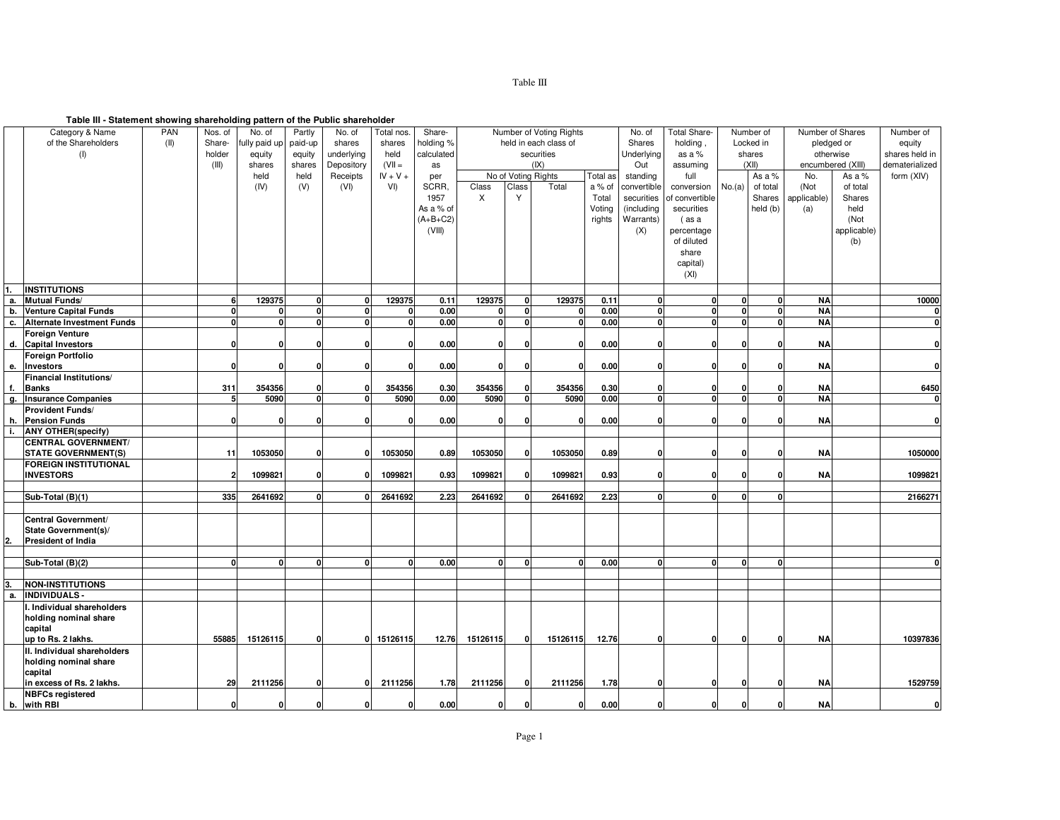#### **Table III - Statement showing shareholding pattern of the Public shareholder**

| Number of Voting Rights<br>Number of<br>Number of Shares<br>of the Shareholders<br>holding %<br>(II)<br>Share-<br>ully paid ur<br>paid-up<br>shares<br>held in each class of<br>Shares<br>holding.<br>Locked in<br>pledged or<br>shares<br>equity<br>holder<br>underlying<br>held<br>calculated<br>securities<br>Underlying<br>shares<br>otherwise<br>(1)<br>equity<br>equity<br>as a %<br>shares held in<br>$(VII =$<br>(IX)<br>(III)<br>shares<br>Depository<br>Out<br>(XII)<br>encumbered (XIII)<br>dematerialized<br>shares<br>assuming<br>as<br>No of Voting Rights<br>held<br>Receipts<br>$IV + V +$<br>Total as<br>As a %<br>No.<br>form (XIV)<br>held<br>standing<br>full<br>As a %<br>per<br>Class<br>(IV)<br>(V)<br>(VI)<br>VI)<br>SCRR,<br>Class<br>Total<br>a % of<br>convertible<br>No.(a)<br>of total<br>(Not<br>of total<br>conversion<br>Y<br>Shares<br>1957<br>X<br>applicable)<br>Shares<br>Total<br>securities<br>of convertible<br>held (b)<br>As a % of<br>Voting<br>(including<br>securities<br>(a)<br>held<br>$(A+B+C2)$<br>rights<br>Warrants)<br>(Not<br>(as a<br>(VIII)<br>(X)<br>applicable)<br>percentage<br>of diluted<br>(b)<br>share<br>capital)<br>(XI)<br><b>INSTITUTIONS</b><br>1.<br>129375<br>129375<br>129375<br>129375<br>a. Mutual Funds/<br>6<br>0.11<br>0.11<br><b>NA</b><br>10000<br>$\mathbf 0$<br>$\mathbf{0}$<br>$\mathbf{0}$<br>$\mathbf{0}$<br>n<br>U<br>$\mathbf{0}$<br>0.00<br>0.00<br>$\mathbf{0}$<br>$\Omega$<br><b>NA</b><br>b. Venture Capital Funds<br>U<br>$\mathbf{0}$<br>$\mathbf{0}$<br><b>n</b><br>$\Omega$<br>n<br>0<br>$\overline{\mathbf{0}}$<br>$\mathbf{0}$<br>0<br>0<br>0.00<br>$\mathbf{0}$<br>0.00<br><sub>0</sub><br>$\mathbf{0}$<br>$\mathbf{0}$<br><b>NA</b><br>c. Alternate Investment Funds<br><sub>0</sub><br>$\mathbf{0}$<br>$\mathbf 0$<br><sup>0</sup><br><b>n</b><br><b>Foreign Venture</b><br><b>NA</b><br>d. Capital Investors<br>$\mathbf{0}$<br>0.00<br>0.00<br>$\mathbf 0$<br>$\Omega$<br>0<br>0<br>O<br>$\Omega$<br>$\mathbf{0}$<br>O<br>ŋ<br>Foreign Portfolio<br>$\mathbf{0}$<br>0.00<br>0.00<br>$\mathbf 0$<br><b>NA</b><br>$\mathbf 0$<br>Investors<br>$\Omega$<br>$\mathbf{0}$<br>O<br>0<br>0<br>O<br>е.<br>Financial Institutions/<br>311<br>354356<br>354356<br>354356<br>354356<br>0.30<br><b>NA</b><br>6450<br><b>Banks</b><br>0.30<br>$\mathbf{r}$<br>$\mathbf{0}$<br>$\mathbf{0}$<br>n<br><b>Insurance Companies</b><br>5 <sup>1</sup><br>5090<br>5090<br>5090<br>5090<br>0.00<br><sub>0</sub><br>$\mathbf{0}$<br>$\mathbf{0}$<br><b>NA</b><br>0.00<br>$\Omega$<br>$\Omega$<br>0<br>0<br><b>Provident Funds/</b><br>0.00<br>$\mathbf{0}$<br><b>NA</b><br>h. Pension Funds<br>$\mathbf{0}$<br>0.00<br>$\mathbf{0}$<br>$\mathbf 0$<br>$\Omega$<br>$\Omega$<br>$\Omega$<br>$\Omega$<br><b>ANY OTHER(specify)</b><br><b>CENTRAL GOVERNMENT/</b><br><b>STATE GOVERNMENT(S)</b><br>1053050<br>1053050<br>0.89<br><b>NA</b><br>11<br>0.89<br>1053050<br>1053050<br>$\mathbf{0}$<br>1050000<br>0<br>$\mathbf{0}$<br>$\Omega$<br>0<br><b>FOREIGN INSTITUTIONAL</b><br><b>INVESTORS</b><br>1099821<br>1099821<br>1099821<br>1099821<br>0.93<br>$\mathbf{0}$<br><b>NA</b><br>1099821<br>$\overline{2}$<br>0.93<br>$\mathbf{0}$<br>$\mathbf{0}$<br>$\Omega$<br>335<br>2641692<br>2641692<br>2641692<br>2641692<br>2.23<br>$\mathbf{0}$<br>2166271<br>Sub-Total (B)(1)<br><sub>0</sub><br>2.23<br>$\mathbf 0$<br>$\mathbf{0}$<br>$\mathbf 0$<br>0<br>Central Government/<br>State Government(s)/<br><b>President of India</b><br>Sub-Total (B)(2)<br>0.00<br>0.00<br>$\mathbf{0}$<br>$\mathbf{0}$<br>$\mathbf{0}$<br>0<br>$\mathbf{0}$<br>$\mathbf{0}$<br>$\mathbf{0}$<br>$\mathbf{0}$<br>O<br>n<br>$\mathbf{0}$<br>n<br>0<br><b>NON-INSTITUTIONS</b><br><b>INDIVIDUALS-</b><br>I. Individual shareholders<br>holding nominal share<br>capital<br>55885<br>15126115<br>0 15126115<br>15126115<br>15126115<br>$\mathbf{0}$<br><b>NA</b><br>10397836<br>up to Rs. 2 lakhs.<br>12.76<br>$\mathbf 0$<br>12.76<br>$\mathbf{0}$<br>$\Omega$<br>O<br>II. Individual shareholders<br>holding nominal share<br>capital<br>2111256<br>2111256<br>2111256<br>$\mathbf{0}$<br><b>NA</b><br>1529759<br>in excess of Rs. 2 lakhs.<br>29<br>1.78<br>$\mathbf 0$<br>2111256<br>1.78<br>$\Omega$<br>0<br>Ω<br>ΩI<br>n<br><b>NBFCs registered</b><br><b>NA</b><br>b. with RBI<br>$\mathbf{0}$<br>0.00<br>0.00<br>$\mathbf{0}$<br>O<br>$\Omega$<br>$\mathbf{0}$<br>0<br>n<br>o<br>n |    | Category & Name | PAN | Nos. of | No. of | Partly | No. of | Total nos. | Share- |  |  | No. of | <b>Total Share-</b> |  |  | Number of |
|---------------------------------------------------------------------------------------------------------------------------------------------------------------------------------------------------------------------------------------------------------------------------------------------------------------------------------------------------------------------------------------------------------------------------------------------------------------------------------------------------------------------------------------------------------------------------------------------------------------------------------------------------------------------------------------------------------------------------------------------------------------------------------------------------------------------------------------------------------------------------------------------------------------------------------------------------------------------------------------------------------------------------------------------------------------------------------------------------------------------------------------------------------------------------------------------------------------------------------------------------------------------------------------------------------------------------------------------------------------------------------------------------------------------------------------------------------------------------------------------------------------------------------------------------------------------------------------------------------------------------------------------------------------------------------------------------------------------------------------------------------------------------------------------------------------------------------------------------------------------------------------------------------------------------------------------------------------------------------------------------------------------------------------------------------------------------------------------------------------------------------------------------------------------------------------------------------------------------------------------------------------------------------------------------------------------------------------------------------------------------------------------------------------------------------------------------------------------------------------------------------------------------------------------------------------------------------------------------------------------------------------------------------------------------------------------------------------------------------------------------------------------------------------------------------------------------------------------------------------------------------------------------------------------------------------------------------------------------------------------------------------------------------------------------------------------------------------------------------------------------------------------------------------------------------------------------------------------------------------------------------------------------------------------------------------------------------------------------------------------------------------------------------------------------------------------------------------------------------------------------------------------------------------------------------------------------------------------------------------------------------------------------------------------------------------------------------------------------------------------------------------------------------------------------------------------------------------------------------------------------------------------------------------------------------------------------------------------------------------------------------------------------------------------------------------------------------------------------------------------------------------------------------------------------------------------------------------------------------------------------------------------------------------------------------------------------------------------------------------------------------------------------------------------------------------------------|----|-----------------|-----|---------|--------|--------|--------|------------|--------|--|--|--------|---------------------|--|--|-----------|
|                                                                                                                                                                                                                                                                                                                                                                                                                                                                                                                                                                                                                                                                                                                                                                                                                                                                                                                                                                                                                                                                                                                                                                                                                                                                                                                                                                                                                                                                                                                                                                                                                                                                                                                                                                                                                                                                                                                                                                                                                                                                                                                                                                                                                                                                                                                                                                                                                                                                                                                                                                                                                                                                                                                                                                                                                                                                                                                                                                                                                                                                                                                                                                                                                                                                                                                                                                                                                                                                                                                                                                                                                                                                                                                                                                                                                                                                                                                                                                                                                                                                                                                                                                                                                                                                                                                                                                                                                                                   |    |                 |     |         |        |        |        |            |        |  |  |        |                     |  |  |           |
|                                                                                                                                                                                                                                                                                                                                                                                                                                                                                                                                                                                                                                                                                                                                                                                                                                                                                                                                                                                                                                                                                                                                                                                                                                                                                                                                                                                                                                                                                                                                                                                                                                                                                                                                                                                                                                                                                                                                                                                                                                                                                                                                                                                                                                                                                                                                                                                                                                                                                                                                                                                                                                                                                                                                                                                                                                                                                                                                                                                                                                                                                                                                                                                                                                                                                                                                                                                                                                                                                                                                                                                                                                                                                                                                                                                                                                                                                                                                                                                                                                                                                                                                                                                                                                                                                                                                                                                                                                                   |    |                 |     |         |        |        |        |            |        |  |  |        |                     |  |  |           |
|                                                                                                                                                                                                                                                                                                                                                                                                                                                                                                                                                                                                                                                                                                                                                                                                                                                                                                                                                                                                                                                                                                                                                                                                                                                                                                                                                                                                                                                                                                                                                                                                                                                                                                                                                                                                                                                                                                                                                                                                                                                                                                                                                                                                                                                                                                                                                                                                                                                                                                                                                                                                                                                                                                                                                                                                                                                                                                                                                                                                                                                                                                                                                                                                                                                                                                                                                                                                                                                                                                                                                                                                                                                                                                                                                                                                                                                                                                                                                                                                                                                                                                                                                                                                                                                                                                                                                                                                                                                   |    |                 |     |         |        |        |        |            |        |  |  |        |                     |  |  |           |
|                                                                                                                                                                                                                                                                                                                                                                                                                                                                                                                                                                                                                                                                                                                                                                                                                                                                                                                                                                                                                                                                                                                                                                                                                                                                                                                                                                                                                                                                                                                                                                                                                                                                                                                                                                                                                                                                                                                                                                                                                                                                                                                                                                                                                                                                                                                                                                                                                                                                                                                                                                                                                                                                                                                                                                                                                                                                                                                                                                                                                                                                                                                                                                                                                                                                                                                                                                                                                                                                                                                                                                                                                                                                                                                                                                                                                                                                                                                                                                                                                                                                                                                                                                                                                                                                                                                                                                                                                                                   |    |                 |     |         |        |        |        |            |        |  |  |        |                     |  |  |           |
|                                                                                                                                                                                                                                                                                                                                                                                                                                                                                                                                                                                                                                                                                                                                                                                                                                                                                                                                                                                                                                                                                                                                                                                                                                                                                                                                                                                                                                                                                                                                                                                                                                                                                                                                                                                                                                                                                                                                                                                                                                                                                                                                                                                                                                                                                                                                                                                                                                                                                                                                                                                                                                                                                                                                                                                                                                                                                                                                                                                                                                                                                                                                                                                                                                                                                                                                                                                                                                                                                                                                                                                                                                                                                                                                                                                                                                                                                                                                                                                                                                                                                                                                                                                                                                                                                                                                                                                                                                                   |    |                 |     |         |        |        |        |            |        |  |  |        |                     |  |  |           |
|                                                                                                                                                                                                                                                                                                                                                                                                                                                                                                                                                                                                                                                                                                                                                                                                                                                                                                                                                                                                                                                                                                                                                                                                                                                                                                                                                                                                                                                                                                                                                                                                                                                                                                                                                                                                                                                                                                                                                                                                                                                                                                                                                                                                                                                                                                                                                                                                                                                                                                                                                                                                                                                                                                                                                                                                                                                                                                                                                                                                                                                                                                                                                                                                                                                                                                                                                                                                                                                                                                                                                                                                                                                                                                                                                                                                                                                                                                                                                                                                                                                                                                                                                                                                                                                                                                                                                                                                                                                   |    |                 |     |         |        |        |        |            |        |  |  |        |                     |  |  |           |
|                                                                                                                                                                                                                                                                                                                                                                                                                                                                                                                                                                                                                                                                                                                                                                                                                                                                                                                                                                                                                                                                                                                                                                                                                                                                                                                                                                                                                                                                                                                                                                                                                                                                                                                                                                                                                                                                                                                                                                                                                                                                                                                                                                                                                                                                                                                                                                                                                                                                                                                                                                                                                                                                                                                                                                                                                                                                                                                                                                                                                                                                                                                                                                                                                                                                                                                                                                                                                                                                                                                                                                                                                                                                                                                                                                                                                                                                                                                                                                                                                                                                                                                                                                                                                                                                                                                                                                                                                                                   |    |                 |     |         |        |        |        |            |        |  |  |        |                     |  |  |           |
|                                                                                                                                                                                                                                                                                                                                                                                                                                                                                                                                                                                                                                                                                                                                                                                                                                                                                                                                                                                                                                                                                                                                                                                                                                                                                                                                                                                                                                                                                                                                                                                                                                                                                                                                                                                                                                                                                                                                                                                                                                                                                                                                                                                                                                                                                                                                                                                                                                                                                                                                                                                                                                                                                                                                                                                                                                                                                                                                                                                                                                                                                                                                                                                                                                                                                                                                                                                                                                                                                                                                                                                                                                                                                                                                                                                                                                                                                                                                                                                                                                                                                                                                                                                                                                                                                                                                                                                                                                                   |    |                 |     |         |        |        |        |            |        |  |  |        |                     |  |  |           |
|                                                                                                                                                                                                                                                                                                                                                                                                                                                                                                                                                                                                                                                                                                                                                                                                                                                                                                                                                                                                                                                                                                                                                                                                                                                                                                                                                                                                                                                                                                                                                                                                                                                                                                                                                                                                                                                                                                                                                                                                                                                                                                                                                                                                                                                                                                                                                                                                                                                                                                                                                                                                                                                                                                                                                                                                                                                                                                                                                                                                                                                                                                                                                                                                                                                                                                                                                                                                                                                                                                                                                                                                                                                                                                                                                                                                                                                                                                                                                                                                                                                                                                                                                                                                                                                                                                                                                                                                                                                   |    |                 |     |         |        |        |        |            |        |  |  |        |                     |  |  |           |
|                                                                                                                                                                                                                                                                                                                                                                                                                                                                                                                                                                                                                                                                                                                                                                                                                                                                                                                                                                                                                                                                                                                                                                                                                                                                                                                                                                                                                                                                                                                                                                                                                                                                                                                                                                                                                                                                                                                                                                                                                                                                                                                                                                                                                                                                                                                                                                                                                                                                                                                                                                                                                                                                                                                                                                                                                                                                                                                                                                                                                                                                                                                                                                                                                                                                                                                                                                                                                                                                                                                                                                                                                                                                                                                                                                                                                                                                                                                                                                                                                                                                                                                                                                                                                                                                                                                                                                                                                                                   |    |                 |     |         |        |        |        |            |        |  |  |        |                     |  |  |           |
|                                                                                                                                                                                                                                                                                                                                                                                                                                                                                                                                                                                                                                                                                                                                                                                                                                                                                                                                                                                                                                                                                                                                                                                                                                                                                                                                                                                                                                                                                                                                                                                                                                                                                                                                                                                                                                                                                                                                                                                                                                                                                                                                                                                                                                                                                                                                                                                                                                                                                                                                                                                                                                                                                                                                                                                                                                                                                                                                                                                                                                                                                                                                                                                                                                                                                                                                                                                                                                                                                                                                                                                                                                                                                                                                                                                                                                                                                                                                                                                                                                                                                                                                                                                                                                                                                                                                                                                                                                                   |    |                 |     |         |        |        |        |            |        |  |  |        |                     |  |  |           |
|                                                                                                                                                                                                                                                                                                                                                                                                                                                                                                                                                                                                                                                                                                                                                                                                                                                                                                                                                                                                                                                                                                                                                                                                                                                                                                                                                                                                                                                                                                                                                                                                                                                                                                                                                                                                                                                                                                                                                                                                                                                                                                                                                                                                                                                                                                                                                                                                                                                                                                                                                                                                                                                                                                                                                                                                                                                                                                                                                                                                                                                                                                                                                                                                                                                                                                                                                                                                                                                                                                                                                                                                                                                                                                                                                                                                                                                                                                                                                                                                                                                                                                                                                                                                                                                                                                                                                                                                                                                   |    |                 |     |         |        |        |        |            |        |  |  |        |                     |  |  |           |
|                                                                                                                                                                                                                                                                                                                                                                                                                                                                                                                                                                                                                                                                                                                                                                                                                                                                                                                                                                                                                                                                                                                                                                                                                                                                                                                                                                                                                                                                                                                                                                                                                                                                                                                                                                                                                                                                                                                                                                                                                                                                                                                                                                                                                                                                                                                                                                                                                                                                                                                                                                                                                                                                                                                                                                                                                                                                                                                                                                                                                                                                                                                                                                                                                                                                                                                                                                                                                                                                                                                                                                                                                                                                                                                                                                                                                                                                                                                                                                                                                                                                                                                                                                                                                                                                                                                                                                                                                                                   |    |                 |     |         |        |        |        |            |        |  |  |        |                     |  |  |           |
|                                                                                                                                                                                                                                                                                                                                                                                                                                                                                                                                                                                                                                                                                                                                                                                                                                                                                                                                                                                                                                                                                                                                                                                                                                                                                                                                                                                                                                                                                                                                                                                                                                                                                                                                                                                                                                                                                                                                                                                                                                                                                                                                                                                                                                                                                                                                                                                                                                                                                                                                                                                                                                                                                                                                                                                                                                                                                                                                                                                                                                                                                                                                                                                                                                                                                                                                                                                                                                                                                                                                                                                                                                                                                                                                                                                                                                                                                                                                                                                                                                                                                                                                                                                                                                                                                                                                                                                                                                                   |    |                 |     |         |        |        |        |            |        |  |  |        |                     |  |  |           |
|                                                                                                                                                                                                                                                                                                                                                                                                                                                                                                                                                                                                                                                                                                                                                                                                                                                                                                                                                                                                                                                                                                                                                                                                                                                                                                                                                                                                                                                                                                                                                                                                                                                                                                                                                                                                                                                                                                                                                                                                                                                                                                                                                                                                                                                                                                                                                                                                                                                                                                                                                                                                                                                                                                                                                                                                                                                                                                                                                                                                                                                                                                                                                                                                                                                                                                                                                                                                                                                                                                                                                                                                                                                                                                                                                                                                                                                                                                                                                                                                                                                                                                                                                                                                                                                                                                                                                                                                                                                   |    |                 |     |         |        |        |        |            |        |  |  |        |                     |  |  |           |
|                                                                                                                                                                                                                                                                                                                                                                                                                                                                                                                                                                                                                                                                                                                                                                                                                                                                                                                                                                                                                                                                                                                                                                                                                                                                                                                                                                                                                                                                                                                                                                                                                                                                                                                                                                                                                                                                                                                                                                                                                                                                                                                                                                                                                                                                                                                                                                                                                                                                                                                                                                                                                                                                                                                                                                                                                                                                                                                                                                                                                                                                                                                                                                                                                                                                                                                                                                                                                                                                                                                                                                                                                                                                                                                                                                                                                                                                                                                                                                                                                                                                                                                                                                                                                                                                                                                                                                                                                                                   |    |                 |     |         |        |        |        |            |        |  |  |        |                     |  |  |           |
|                                                                                                                                                                                                                                                                                                                                                                                                                                                                                                                                                                                                                                                                                                                                                                                                                                                                                                                                                                                                                                                                                                                                                                                                                                                                                                                                                                                                                                                                                                                                                                                                                                                                                                                                                                                                                                                                                                                                                                                                                                                                                                                                                                                                                                                                                                                                                                                                                                                                                                                                                                                                                                                                                                                                                                                                                                                                                                                                                                                                                                                                                                                                                                                                                                                                                                                                                                                                                                                                                                                                                                                                                                                                                                                                                                                                                                                                                                                                                                                                                                                                                                                                                                                                                                                                                                                                                                                                                                                   |    |                 |     |         |        |        |        |            |        |  |  |        |                     |  |  |           |
|                                                                                                                                                                                                                                                                                                                                                                                                                                                                                                                                                                                                                                                                                                                                                                                                                                                                                                                                                                                                                                                                                                                                                                                                                                                                                                                                                                                                                                                                                                                                                                                                                                                                                                                                                                                                                                                                                                                                                                                                                                                                                                                                                                                                                                                                                                                                                                                                                                                                                                                                                                                                                                                                                                                                                                                                                                                                                                                                                                                                                                                                                                                                                                                                                                                                                                                                                                                                                                                                                                                                                                                                                                                                                                                                                                                                                                                                                                                                                                                                                                                                                                                                                                                                                                                                                                                                                                                                                                                   |    |                 |     |         |        |        |        |            |        |  |  |        |                     |  |  |           |
|                                                                                                                                                                                                                                                                                                                                                                                                                                                                                                                                                                                                                                                                                                                                                                                                                                                                                                                                                                                                                                                                                                                                                                                                                                                                                                                                                                                                                                                                                                                                                                                                                                                                                                                                                                                                                                                                                                                                                                                                                                                                                                                                                                                                                                                                                                                                                                                                                                                                                                                                                                                                                                                                                                                                                                                                                                                                                                                                                                                                                                                                                                                                                                                                                                                                                                                                                                                                                                                                                                                                                                                                                                                                                                                                                                                                                                                                                                                                                                                                                                                                                                                                                                                                                                                                                                                                                                                                                                                   |    |                 |     |         |        |        |        |            |        |  |  |        |                     |  |  |           |
|                                                                                                                                                                                                                                                                                                                                                                                                                                                                                                                                                                                                                                                                                                                                                                                                                                                                                                                                                                                                                                                                                                                                                                                                                                                                                                                                                                                                                                                                                                                                                                                                                                                                                                                                                                                                                                                                                                                                                                                                                                                                                                                                                                                                                                                                                                                                                                                                                                                                                                                                                                                                                                                                                                                                                                                                                                                                                                                                                                                                                                                                                                                                                                                                                                                                                                                                                                                                                                                                                                                                                                                                                                                                                                                                                                                                                                                                                                                                                                                                                                                                                                                                                                                                                                                                                                                                                                                                                                                   |    |                 |     |         |        |        |        |            |        |  |  |        |                     |  |  |           |
|                                                                                                                                                                                                                                                                                                                                                                                                                                                                                                                                                                                                                                                                                                                                                                                                                                                                                                                                                                                                                                                                                                                                                                                                                                                                                                                                                                                                                                                                                                                                                                                                                                                                                                                                                                                                                                                                                                                                                                                                                                                                                                                                                                                                                                                                                                                                                                                                                                                                                                                                                                                                                                                                                                                                                                                                                                                                                                                                                                                                                                                                                                                                                                                                                                                                                                                                                                                                                                                                                                                                                                                                                                                                                                                                                                                                                                                                                                                                                                                                                                                                                                                                                                                                                                                                                                                                                                                                                                                   |    |                 |     |         |        |        |        |            |        |  |  |        |                     |  |  |           |
|                                                                                                                                                                                                                                                                                                                                                                                                                                                                                                                                                                                                                                                                                                                                                                                                                                                                                                                                                                                                                                                                                                                                                                                                                                                                                                                                                                                                                                                                                                                                                                                                                                                                                                                                                                                                                                                                                                                                                                                                                                                                                                                                                                                                                                                                                                                                                                                                                                                                                                                                                                                                                                                                                                                                                                                                                                                                                                                                                                                                                                                                                                                                                                                                                                                                                                                                                                                                                                                                                                                                                                                                                                                                                                                                                                                                                                                                                                                                                                                                                                                                                                                                                                                                                                                                                                                                                                                                                                                   |    |                 |     |         |        |        |        |            |        |  |  |        |                     |  |  |           |
|                                                                                                                                                                                                                                                                                                                                                                                                                                                                                                                                                                                                                                                                                                                                                                                                                                                                                                                                                                                                                                                                                                                                                                                                                                                                                                                                                                                                                                                                                                                                                                                                                                                                                                                                                                                                                                                                                                                                                                                                                                                                                                                                                                                                                                                                                                                                                                                                                                                                                                                                                                                                                                                                                                                                                                                                                                                                                                                                                                                                                                                                                                                                                                                                                                                                                                                                                                                                                                                                                                                                                                                                                                                                                                                                                                                                                                                                                                                                                                                                                                                                                                                                                                                                                                                                                                                                                                                                                                                   |    |                 |     |         |        |        |        |            |        |  |  |        |                     |  |  |           |
|                                                                                                                                                                                                                                                                                                                                                                                                                                                                                                                                                                                                                                                                                                                                                                                                                                                                                                                                                                                                                                                                                                                                                                                                                                                                                                                                                                                                                                                                                                                                                                                                                                                                                                                                                                                                                                                                                                                                                                                                                                                                                                                                                                                                                                                                                                                                                                                                                                                                                                                                                                                                                                                                                                                                                                                                                                                                                                                                                                                                                                                                                                                                                                                                                                                                                                                                                                                                                                                                                                                                                                                                                                                                                                                                                                                                                                                                                                                                                                                                                                                                                                                                                                                                                                                                                                                                                                                                                                                   |    |                 |     |         |        |        |        |            |        |  |  |        |                     |  |  |           |
|                                                                                                                                                                                                                                                                                                                                                                                                                                                                                                                                                                                                                                                                                                                                                                                                                                                                                                                                                                                                                                                                                                                                                                                                                                                                                                                                                                                                                                                                                                                                                                                                                                                                                                                                                                                                                                                                                                                                                                                                                                                                                                                                                                                                                                                                                                                                                                                                                                                                                                                                                                                                                                                                                                                                                                                                                                                                                                                                                                                                                                                                                                                                                                                                                                                                                                                                                                                                                                                                                                                                                                                                                                                                                                                                                                                                                                                                                                                                                                                                                                                                                                                                                                                                                                                                                                                                                                                                                                                   | t. |                 |     |         |        |        |        |            |        |  |  |        |                     |  |  |           |
|                                                                                                                                                                                                                                                                                                                                                                                                                                                                                                                                                                                                                                                                                                                                                                                                                                                                                                                                                                                                                                                                                                                                                                                                                                                                                                                                                                                                                                                                                                                                                                                                                                                                                                                                                                                                                                                                                                                                                                                                                                                                                                                                                                                                                                                                                                                                                                                                                                                                                                                                                                                                                                                                                                                                                                                                                                                                                                                                                                                                                                                                                                                                                                                                                                                                                                                                                                                                                                                                                                                                                                                                                                                                                                                                                                                                                                                                                                                                                                                                                                                                                                                                                                                                                                                                                                                                                                                                                                                   | g. |                 |     |         |        |        |        |            |        |  |  |        |                     |  |  |           |
|                                                                                                                                                                                                                                                                                                                                                                                                                                                                                                                                                                                                                                                                                                                                                                                                                                                                                                                                                                                                                                                                                                                                                                                                                                                                                                                                                                                                                                                                                                                                                                                                                                                                                                                                                                                                                                                                                                                                                                                                                                                                                                                                                                                                                                                                                                                                                                                                                                                                                                                                                                                                                                                                                                                                                                                                                                                                                                                                                                                                                                                                                                                                                                                                                                                                                                                                                                                                                                                                                                                                                                                                                                                                                                                                                                                                                                                                                                                                                                                                                                                                                                                                                                                                                                                                                                                                                                                                                                                   |    |                 |     |         |        |        |        |            |        |  |  |        |                     |  |  |           |
|                                                                                                                                                                                                                                                                                                                                                                                                                                                                                                                                                                                                                                                                                                                                                                                                                                                                                                                                                                                                                                                                                                                                                                                                                                                                                                                                                                                                                                                                                                                                                                                                                                                                                                                                                                                                                                                                                                                                                                                                                                                                                                                                                                                                                                                                                                                                                                                                                                                                                                                                                                                                                                                                                                                                                                                                                                                                                                                                                                                                                                                                                                                                                                                                                                                                                                                                                                                                                                                                                                                                                                                                                                                                                                                                                                                                                                                                                                                                                                                                                                                                                                                                                                                                                                                                                                                                                                                                                                                   |    |                 |     |         |        |        |        |            |        |  |  |        |                     |  |  |           |
|                                                                                                                                                                                                                                                                                                                                                                                                                                                                                                                                                                                                                                                                                                                                                                                                                                                                                                                                                                                                                                                                                                                                                                                                                                                                                                                                                                                                                                                                                                                                                                                                                                                                                                                                                                                                                                                                                                                                                                                                                                                                                                                                                                                                                                                                                                                                                                                                                                                                                                                                                                                                                                                                                                                                                                                                                                                                                                                                                                                                                                                                                                                                                                                                                                                                                                                                                                                                                                                                                                                                                                                                                                                                                                                                                                                                                                                                                                                                                                                                                                                                                                                                                                                                                                                                                                                                                                                                                                                   | i. |                 |     |         |        |        |        |            |        |  |  |        |                     |  |  |           |
|                                                                                                                                                                                                                                                                                                                                                                                                                                                                                                                                                                                                                                                                                                                                                                                                                                                                                                                                                                                                                                                                                                                                                                                                                                                                                                                                                                                                                                                                                                                                                                                                                                                                                                                                                                                                                                                                                                                                                                                                                                                                                                                                                                                                                                                                                                                                                                                                                                                                                                                                                                                                                                                                                                                                                                                                                                                                                                                                                                                                                                                                                                                                                                                                                                                                                                                                                                                                                                                                                                                                                                                                                                                                                                                                                                                                                                                                                                                                                                                                                                                                                                                                                                                                                                                                                                                                                                                                                                                   |    |                 |     |         |        |        |        |            |        |  |  |        |                     |  |  |           |
|                                                                                                                                                                                                                                                                                                                                                                                                                                                                                                                                                                                                                                                                                                                                                                                                                                                                                                                                                                                                                                                                                                                                                                                                                                                                                                                                                                                                                                                                                                                                                                                                                                                                                                                                                                                                                                                                                                                                                                                                                                                                                                                                                                                                                                                                                                                                                                                                                                                                                                                                                                                                                                                                                                                                                                                                                                                                                                                                                                                                                                                                                                                                                                                                                                                                                                                                                                                                                                                                                                                                                                                                                                                                                                                                                                                                                                                                                                                                                                                                                                                                                                                                                                                                                                                                                                                                                                                                                                                   |    |                 |     |         |        |        |        |            |        |  |  |        |                     |  |  |           |
|                                                                                                                                                                                                                                                                                                                                                                                                                                                                                                                                                                                                                                                                                                                                                                                                                                                                                                                                                                                                                                                                                                                                                                                                                                                                                                                                                                                                                                                                                                                                                                                                                                                                                                                                                                                                                                                                                                                                                                                                                                                                                                                                                                                                                                                                                                                                                                                                                                                                                                                                                                                                                                                                                                                                                                                                                                                                                                                                                                                                                                                                                                                                                                                                                                                                                                                                                                                                                                                                                                                                                                                                                                                                                                                                                                                                                                                                                                                                                                                                                                                                                                                                                                                                                                                                                                                                                                                                                                                   |    |                 |     |         |        |        |        |            |        |  |  |        |                     |  |  |           |
|                                                                                                                                                                                                                                                                                                                                                                                                                                                                                                                                                                                                                                                                                                                                                                                                                                                                                                                                                                                                                                                                                                                                                                                                                                                                                                                                                                                                                                                                                                                                                                                                                                                                                                                                                                                                                                                                                                                                                                                                                                                                                                                                                                                                                                                                                                                                                                                                                                                                                                                                                                                                                                                                                                                                                                                                                                                                                                                                                                                                                                                                                                                                                                                                                                                                                                                                                                                                                                                                                                                                                                                                                                                                                                                                                                                                                                                                                                                                                                                                                                                                                                                                                                                                                                                                                                                                                                                                                                                   |    |                 |     |         |        |        |        |            |        |  |  |        |                     |  |  |           |
|                                                                                                                                                                                                                                                                                                                                                                                                                                                                                                                                                                                                                                                                                                                                                                                                                                                                                                                                                                                                                                                                                                                                                                                                                                                                                                                                                                                                                                                                                                                                                                                                                                                                                                                                                                                                                                                                                                                                                                                                                                                                                                                                                                                                                                                                                                                                                                                                                                                                                                                                                                                                                                                                                                                                                                                                                                                                                                                                                                                                                                                                                                                                                                                                                                                                                                                                                                                                                                                                                                                                                                                                                                                                                                                                                                                                                                                                                                                                                                                                                                                                                                                                                                                                                                                                                                                                                                                                                                                   |    |                 |     |         |        |        |        |            |        |  |  |        |                     |  |  |           |
|                                                                                                                                                                                                                                                                                                                                                                                                                                                                                                                                                                                                                                                                                                                                                                                                                                                                                                                                                                                                                                                                                                                                                                                                                                                                                                                                                                                                                                                                                                                                                                                                                                                                                                                                                                                                                                                                                                                                                                                                                                                                                                                                                                                                                                                                                                                                                                                                                                                                                                                                                                                                                                                                                                                                                                                                                                                                                                                                                                                                                                                                                                                                                                                                                                                                                                                                                                                                                                                                                                                                                                                                                                                                                                                                                                                                                                                                                                                                                                                                                                                                                                                                                                                                                                                                                                                                                                                                                                                   |    |                 |     |         |        |        |        |            |        |  |  |        |                     |  |  |           |
|                                                                                                                                                                                                                                                                                                                                                                                                                                                                                                                                                                                                                                                                                                                                                                                                                                                                                                                                                                                                                                                                                                                                                                                                                                                                                                                                                                                                                                                                                                                                                                                                                                                                                                                                                                                                                                                                                                                                                                                                                                                                                                                                                                                                                                                                                                                                                                                                                                                                                                                                                                                                                                                                                                                                                                                                                                                                                                                                                                                                                                                                                                                                                                                                                                                                                                                                                                                                                                                                                                                                                                                                                                                                                                                                                                                                                                                                                                                                                                                                                                                                                                                                                                                                                                                                                                                                                                                                                                                   |    |                 |     |         |        |        |        |            |        |  |  |        |                     |  |  |           |
|                                                                                                                                                                                                                                                                                                                                                                                                                                                                                                                                                                                                                                                                                                                                                                                                                                                                                                                                                                                                                                                                                                                                                                                                                                                                                                                                                                                                                                                                                                                                                                                                                                                                                                                                                                                                                                                                                                                                                                                                                                                                                                                                                                                                                                                                                                                                                                                                                                                                                                                                                                                                                                                                                                                                                                                                                                                                                                                                                                                                                                                                                                                                                                                                                                                                                                                                                                                                                                                                                                                                                                                                                                                                                                                                                                                                                                                                                                                                                                                                                                                                                                                                                                                                                                                                                                                                                                                                                                                   |    |                 |     |         |        |        |        |            |        |  |  |        |                     |  |  |           |
|                                                                                                                                                                                                                                                                                                                                                                                                                                                                                                                                                                                                                                                                                                                                                                                                                                                                                                                                                                                                                                                                                                                                                                                                                                                                                                                                                                                                                                                                                                                                                                                                                                                                                                                                                                                                                                                                                                                                                                                                                                                                                                                                                                                                                                                                                                                                                                                                                                                                                                                                                                                                                                                                                                                                                                                                                                                                                                                                                                                                                                                                                                                                                                                                                                                                                                                                                                                                                                                                                                                                                                                                                                                                                                                                                                                                                                                                                                                                                                                                                                                                                                                                                                                                                                                                                                                                                                                                                                                   |    |                 |     |         |        |        |        |            |        |  |  |        |                     |  |  |           |
|                                                                                                                                                                                                                                                                                                                                                                                                                                                                                                                                                                                                                                                                                                                                                                                                                                                                                                                                                                                                                                                                                                                                                                                                                                                                                                                                                                                                                                                                                                                                                                                                                                                                                                                                                                                                                                                                                                                                                                                                                                                                                                                                                                                                                                                                                                                                                                                                                                                                                                                                                                                                                                                                                                                                                                                                                                                                                                                                                                                                                                                                                                                                                                                                                                                                                                                                                                                                                                                                                                                                                                                                                                                                                                                                                                                                                                                                                                                                                                                                                                                                                                                                                                                                                                                                                                                                                                                                                                                   | 2. |                 |     |         |        |        |        |            |        |  |  |        |                     |  |  |           |
|                                                                                                                                                                                                                                                                                                                                                                                                                                                                                                                                                                                                                                                                                                                                                                                                                                                                                                                                                                                                                                                                                                                                                                                                                                                                                                                                                                                                                                                                                                                                                                                                                                                                                                                                                                                                                                                                                                                                                                                                                                                                                                                                                                                                                                                                                                                                                                                                                                                                                                                                                                                                                                                                                                                                                                                                                                                                                                                                                                                                                                                                                                                                                                                                                                                                                                                                                                                                                                                                                                                                                                                                                                                                                                                                                                                                                                                                                                                                                                                                                                                                                                                                                                                                                                                                                                                                                                                                                                                   |    |                 |     |         |        |        |        |            |        |  |  |        |                     |  |  |           |
|                                                                                                                                                                                                                                                                                                                                                                                                                                                                                                                                                                                                                                                                                                                                                                                                                                                                                                                                                                                                                                                                                                                                                                                                                                                                                                                                                                                                                                                                                                                                                                                                                                                                                                                                                                                                                                                                                                                                                                                                                                                                                                                                                                                                                                                                                                                                                                                                                                                                                                                                                                                                                                                                                                                                                                                                                                                                                                                                                                                                                                                                                                                                                                                                                                                                                                                                                                                                                                                                                                                                                                                                                                                                                                                                                                                                                                                                                                                                                                                                                                                                                                                                                                                                                                                                                                                                                                                                                                                   |    |                 |     |         |        |        |        |            |        |  |  |        |                     |  |  |           |
|                                                                                                                                                                                                                                                                                                                                                                                                                                                                                                                                                                                                                                                                                                                                                                                                                                                                                                                                                                                                                                                                                                                                                                                                                                                                                                                                                                                                                                                                                                                                                                                                                                                                                                                                                                                                                                                                                                                                                                                                                                                                                                                                                                                                                                                                                                                                                                                                                                                                                                                                                                                                                                                                                                                                                                                                                                                                                                                                                                                                                                                                                                                                                                                                                                                                                                                                                                                                                                                                                                                                                                                                                                                                                                                                                                                                                                                                                                                                                                                                                                                                                                                                                                                                                                                                                                                                                                                                                                                   |    |                 |     |         |        |        |        |            |        |  |  |        |                     |  |  |           |
|                                                                                                                                                                                                                                                                                                                                                                                                                                                                                                                                                                                                                                                                                                                                                                                                                                                                                                                                                                                                                                                                                                                                                                                                                                                                                                                                                                                                                                                                                                                                                                                                                                                                                                                                                                                                                                                                                                                                                                                                                                                                                                                                                                                                                                                                                                                                                                                                                                                                                                                                                                                                                                                                                                                                                                                                                                                                                                                                                                                                                                                                                                                                                                                                                                                                                                                                                                                                                                                                                                                                                                                                                                                                                                                                                                                                                                                                                                                                                                                                                                                                                                                                                                                                                                                                                                                                                                                                                                                   | 3. |                 |     |         |        |        |        |            |        |  |  |        |                     |  |  |           |
|                                                                                                                                                                                                                                                                                                                                                                                                                                                                                                                                                                                                                                                                                                                                                                                                                                                                                                                                                                                                                                                                                                                                                                                                                                                                                                                                                                                                                                                                                                                                                                                                                                                                                                                                                                                                                                                                                                                                                                                                                                                                                                                                                                                                                                                                                                                                                                                                                                                                                                                                                                                                                                                                                                                                                                                                                                                                                                                                                                                                                                                                                                                                                                                                                                                                                                                                                                                                                                                                                                                                                                                                                                                                                                                                                                                                                                                                                                                                                                                                                                                                                                                                                                                                                                                                                                                                                                                                                                                   | а. |                 |     |         |        |        |        |            |        |  |  |        |                     |  |  |           |
|                                                                                                                                                                                                                                                                                                                                                                                                                                                                                                                                                                                                                                                                                                                                                                                                                                                                                                                                                                                                                                                                                                                                                                                                                                                                                                                                                                                                                                                                                                                                                                                                                                                                                                                                                                                                                                                                                                                                                                                                                                                                                                                                                                                                                                                                                                                                                                                                                                                                                                                                                                                                                                                                                                                                                                                                                                                                                                                                                                                                                                                                                                                                                                                                                                                                                                                                                                                                                                                                                                                                                                                                                                                                                                                                                                                                                                                                                                                                                                                                                                                                                                                                                                                                                                                                                                                                                                                                                                                   |    |                 |     |         |        |        |        |            |        |  |  |        |                     |  |  |           |
|                                                                                                                                                                                                                                                                                                                                                                                                                                                                                                                                                                                                                                                                                                                                                                                                                                                                                                                                                                                                                                                                                                                                                                                                                                                                                                                                                                                                                                                                                                                                                                                                                                                                                                                                                                                                                                                                                                                                                                                                                                                                                                                                                                                                                                                                                                                                                                                                                                                                                                                                                                                                                                                                                                                                                                                                                                                                                                                                                                                                                                                                                                                                                                                                                                                                                                                                                                                                                                                                                                                                                                                                                                                                                                                                                                                                                                                                                                                                                                                                                                                                                                                                                                                                                                                                                                                                                                                                                                                   |    |                 |     |         |        |        |        |            |        |  |  |        |                     |  |  |           |
|                                                                                                                                                                                                                                                                                                                                                                                                                                                                                                                                                                                                                                                                                                                                                                                                                                                                                                                                                                                                                                                                                                                                                                                                                                                                                                                                                                                                                                                                                                                                                                                                                                                                                                                                                                                                                                                                                                                                                                                                                                                                                                                                                                                                                                                                                                                                                                                                                                                                                                                                                                                                                                                                                                                                                                                                                                                                                                                                                                                                                                                                                                                                                                                                                                                                                                                                                                                                                                                                                                                                                                                                                                                                                                                                                                                                                                                                                                                                                                                                                                                                                                                                                                                                                                                                                                                                                                                                                                                   |    |                 |     |         |        |        |        |            |        |  |  |        |                     |  |  |           |
|                                                                                                                                                                                                                                                                                                                                                                                                                                                                                                                                                                                                                                                                                                                                                                                                                                                                                                                                                                                                                                                                                                                                                                                                                                                                                                                                                                                                                                                                                                                                                                                                                                                                                                                                                                                                                                                                                                                                                                                                                                                                                                                                                                                                                                                                                                                                                                                                                                                                                                                                                                                                                                                                                                                                                                                                                                                                                                                                                                                                                                                                                                                                                                                                                                                                                                                                                                                                                                                                                                                                                                                                                                                                                                                                                                                                                                                                                                                                                                                                                                                                                                                                                                                                                                                                                                                                                                                                                                                   |    |                 |     |         |        |        |        |            |        |  |  |        |                     |  |  |           |
|                                                                                                                                                                                                                                                                                                                                                                                                                                                                                                                                                                                                                                                                                                                                                                                                                                                                                                                                                                                                                                                                                                                                                                                                                                                                                                                                                                                                                                                                                                                                                                                                                                                                                                                                                                                                                                                                                                                                                                                                                                                                                                                                                                                                                                                                                                                                                                                                                                                                                                                                                                                                                                                                                                                                                                                                                                                                                                                                                                                                                                                                                                                                                                                                                                                                                                                                                                                                                                                                                                                                                                                                                                                                                                                                                                                                                                                                                                                                                                                                                                                                                                                                                                                                                                                                                                                                                                                                                                                   |    |                 |     |         |        |        |        |            |        |  |  |        |                     |  |  |           |
|                                                                                                                                                                                                                                                                                                                                                                                                                                                                                                                                                                                                                                                                                                                                                                                                                                                                                                                                                                                                                                                                                                                                                                                                                                                                                                                                                                                                                                                                                                                                                                                                                                                                                                                                                                                                                                                                                                                                                                                                                                                                                                                                                                                                                                                                                                                                                                                                                                                                                                                                                                                                                                                                                                                                                                                                                                                                                                                                                                                                                                                                                                                                                                                                                                                                                                                                                                                                                                                                                                                                                                                                                                                                                                                                                                                                                                                                                                                                                                                                                                                                                                                                                                                                                                                                                                                                                                                                                                                   |    |                 |     |         |        |        |        |            |        |  |  |        |                     |  |  |           |
|                                                                                                                                                                                                                                                                                                                                                                                                                                                                                                                                                                                                                                                                                                                                                                                                                                                                                                                                                                                                                                                                                                                                                                                                                                                                                                                                                                                                                                                                                                                                                                                                                                                                                                                                                                                                                                                                                                                                                                                                                                                                                                                                                                                                                                                                                                                                                                                                                                                                                                                                                                                                                                                                                                                                                                                                                                                                                                                                                                                                                                                                                                                                                                                                                                                                                                                                                                                                                                                                                                                                                                                                                                                                                                                                                                                                                                                                                                                                                                                                                                                                                                                                                                                                                                                                                                                                                                                                                                                   |    |                 |     |         |        |        |        |            |        |  |  |        |                     |  |  |           |
|                                                                                                                                                                                                                                                                                                                                                                                                                                                                                                                                                                                                                                                                                                                                                                                                                                                                                                                                                                                                                                                                                                                                                                                                                                                                                                                                                                                                                                                                                                                                                                                                                                                                                                                                                                                                                                                                                                                                                                                                                                                                                                                                                                                                                                                                                                                                                                                                                                                                                                                                                                                                                                                                                                                                                                                                                                                                                                                                                                                                                                                                                                                                                                                                                                                                                                                                                                                                                                                                                                                                                                                                                                                                                                                                                                                                                                                                                                                                                                                                                                                                                                                                                                                                                                                                                                                                                                                                                                                   |    |                 |     |         |        |        |        |            |        |  |  |        |                     |  |  |           |
|                                                                                                                                                                                                                                                                                                                                                                                                                                                                                                                                                                                                                                                                                                                                                                                                                                                                                                                                                                                                                                                                                                                                                                                                                                                                                                                                                                                                                                                                                                                                                                                                                                                                                                                                                                                                                                                                                                                                                                                                                                                                                                                                                                                                                                                                                                                                                                                                                                                                                                                                                                                                                                                                                                                                                                                                                                                                                                                                                                                                                                                                                                                                                                                                                                                                                                                                                                                                                                                                                                                                                                                                                                                                                                                                                                                                                                                                                                                                                                                                                                                                                                                                                                                                                                                                                                                                                                                                                                                   |    |                 |     |         |        |        |        |            |        |  |  |        |                     |  |  |           |
|                                                                                                                                                                                                                                                                                                                                                                                                                                                                                                                                                                                                                                                                                                                                                                                                                                                                                                                                                                                                                                                                                                                                                                                                                                                                                                                                                                                                                                                                                                                                                                                                                                                                                                                                                                                                                                                                                                                                                                                                                                                                                                                                                                                                                                                                                                                                                                                                                                                                                                                                                                                                                                                                                                                                                                                                                                                                                                                                                                                                                                                                                                                                                                                                                                                                                                                                                                                                                                                                                                                                                                                                                                                                                                                                                                                                                                                                                                                                                                                                                                                                                                                                                                                                                                                                                                                                                                                                                                                   |    |                 |     |         |        |        |        |            |        |  |  |        |                     |  |  |           |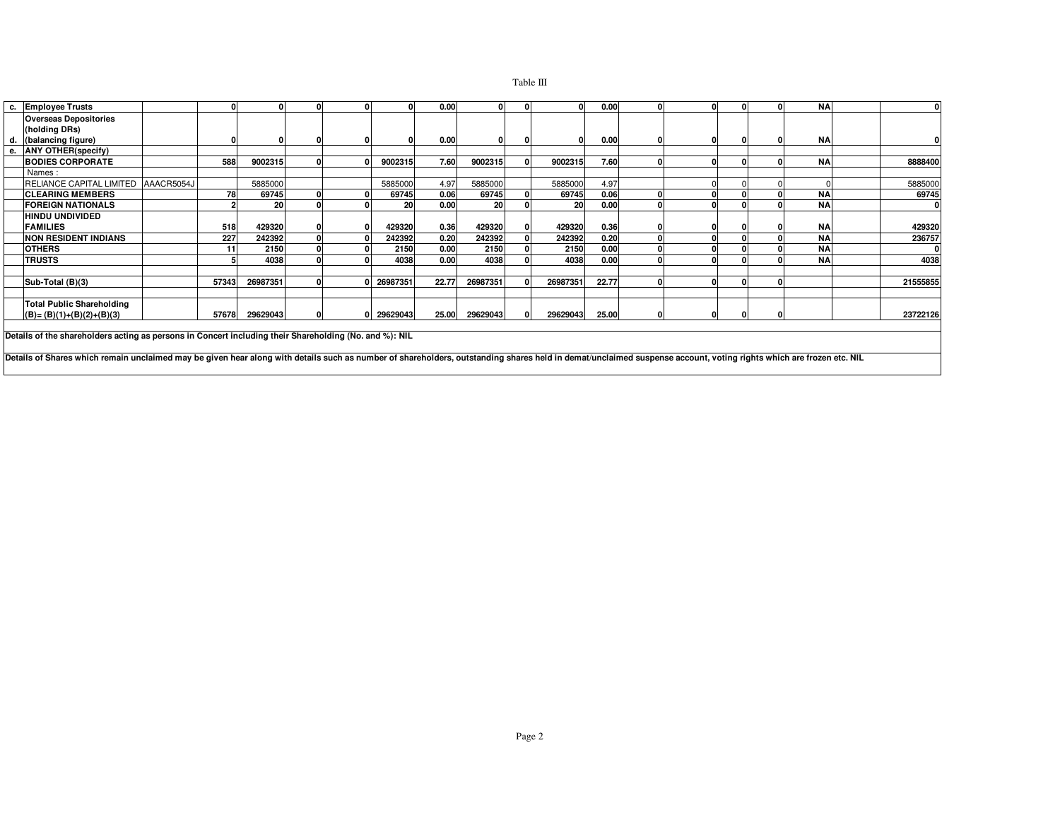## Table III

| c. | <b>Employee Trusts</b>           |            |       |          |  |          | 0.00  |           |           | 0.00  | ΩL       |  | <b>NA</b> |          |
|----|----------------------------------|------------|-------|----------|--|----------|-------|-----------|-----------|-------|----------|--|-----------|----------|
|    | <b>Overseas Depositories</b>     |            |       |          |  |          |       |           |           |       |          |  |           |          |
|    | (holding DRs)                    |            |       |          |  |          |       |           |           |       |          |  |           |          |
|    | d. (balancing figure)            |            |       |          |  |          | 0.00  |           |           | 0.00  | 0        |  | <b>NA</b> |          |
| е. | <b>ANY OTHER(specify)</b>        |            |       |          |  |          |       |           |           |       |          |  |           |          |
|    | <b>BODIES CORPORATE</b>          |            | 588   | 9002315  |  | 9002315  | 7.60  | 9002315   | 9002315   | 7.60  | $\Omega$ |  | <b>NA</b> | 8888400  |
|    | Names:                           |            |       |          |  |          |       |           |           |       |          |  |           |          |
|    | RELIANCE CAPITAL LIMITED         | AAACR5054J |       | 5885000  |  | 5885000  | 4.97  | 5885000   | 5885000   | 4.97  |          |  |           | 5885000  |
|    | <b>ICLEARING MEMBERS</b>         |            | 78    | 69745    |  | 69745    | 0.06  | 69745     | 69745     | 0.06  |          |  | <b>NA</b> | 69745    |
|    | <b>FOREIGN NATIONALS</b>         |            |       | 20       |  | 20       | 0.00  | <b>20</b> | <b>20</b> | 0.00  | 0        |  | <b>NA</b> | $\bf{0}$ |
|    | HINDU UNDIVIDED                  |            |       |          |  |          |       |           |           |       |          |  |           |          |
|    | <b>FAMILIES</b>                  |            | 518   | 429320   |  | 429320   | 0.36  | 429320    | 429320    | 0.36  |          |  | <b>NA</b> | 429320   |
|    | <b>NON RESIDENT INDIANS</b>      |            | 227   | 242392   |  | 242392   | 0.20  | 242392    | 242392    | 0.20  | ΩI       |  | <b>NA</b> | 236757   |
|    | <b>OTHERS</b>                    |            | 11    | 2150     |  | 2150     | 0.00  | 2150      | 2150      | 0.00  | n        |  | <b>NA</b> | 0        |
|    | <b>TRUSTS</b>                    |            |       | 4038     |  | 4038     | 0.00  | 4038      | 4038      | 0.00  | o        |  | <b>NA</b> | 4038     |
|    |                                  |            |       |          |  |          |       |           |           |       |          |  |           |          |
|    | Sub-Total (B)(3)                 |            | 57343 | 26987351 |  | 26987351 | 22.77 | 26987351  | 26987351  | 22.77 | $\Omega$ |  |           | 21555855 |
|    |                                  |            |       |          |  |          |       |           |           |       |          |  |           |          |
|    | <b>Total Public Shareholding</b> |            |       |          |  |          |       |           |           |       |          |  |           |          |
|    | $(B)=(B)(1)+(B)(2)+(B)(3)$       |            | 57678 | 29629043 |  | 29629043 | 25.00 | 29629043  | 29629043  | 25.00 | 0        |  |           | 23722126 |

**Details of the shareholders acting as persons in Concert including their Shareholding (No. and %): NIL**

**Details of Shares which remain unclaimed may be given hear along with details such as number of shareholders, outstanding shares held in demat/unclaimed suspense account, voting rights which are frozen etc. NIL**